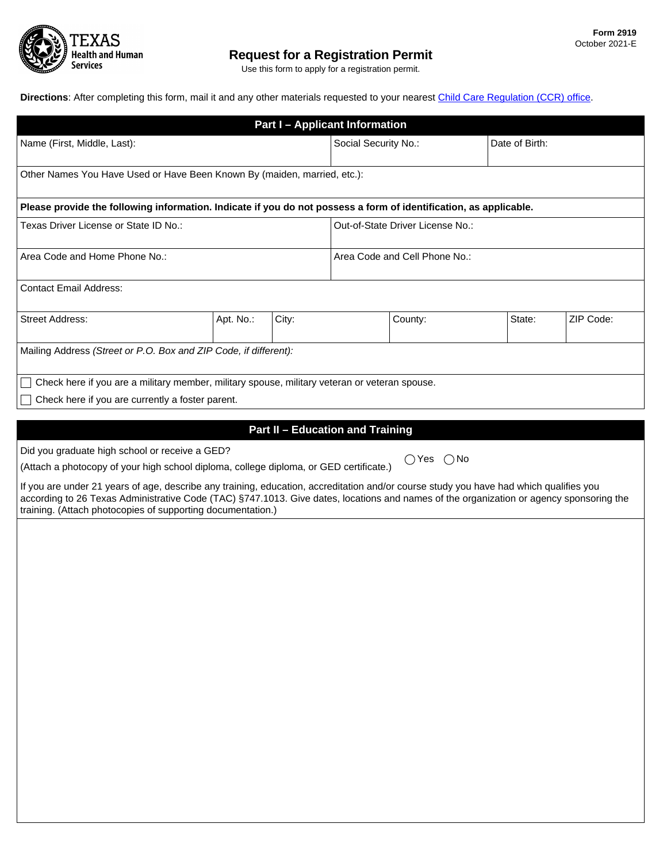

Use this form to apply for a registration permit.

**Directions**: After completing this form, mail it and any other materials requested to your nearest [Child Care Regulation \(CCR\) office](https://www.hhs.texas.gov/services/safety/child-care/contact-child-care-licensing).

| <b>Part I - Applicant Information</b>                                                                                                                                                                                                                                                                                                            |                                  |                                         |                               |                              |                |           |  |  |
|--------------------------------------------------------------------------------------------------------------------------------------------------------------------------------------------------------------------------------------------------------------------------------------------------------------------------------------------------|----------------------------------|-----------------------------------------|-------------------------------|------------------------------|----------------|-----------|--|--|
| Name (First, Middle, Last):                                                                                                                                                                                                                                                                                                                      |                                  |                                         | Social Security No.:          |                              | Date of Birth: |           |  |  |
| Other Names You Have Used or Have Been Known By (maiden, married, etc.):                                                                                                                                                                                                                                                                         |                                  |                                         |                               |                              |                |           |  |  |
| Please provide the following information. Indicate if you do not possess a form of identification, as applicable.                                                                                                                                                                                                                                |                                  |                                         |                               |                              |                |           |  |  |
| Texas Driver License or State ID No.:                                                                                                                                                                                                                                                                                                            | Out-of-State Driver License No.: |                                         |                               |                              |                |           |  |  |
| Area Code and Home Phone No.:                                                                                                                                                                                                                                                                                                                    |                                  |                                         | Area Code and Cell Phone No.: |                              |                |           |  |  |
| <b>Contact Email Address:</b>                                                                                                                                                                                                                                                                                                                    |                                  |                                         |                               |                              |                |           |  |  |
| <b>Street Address:</b>                                                                                                                                                                                                                                                                                                                           | Apt. No.:                        | City:                                   |                               | County:                      | State:         | ZIP Code: |  |  |
| Mailing Address (Street or P.O. Box and ZIP Code, if different):                                                                                                                                                                                                                                                                                 |                                  |                                         |                               |                              |                |           |  |  |
| Check here if you are a military member, military spouse, military veteran or veteran spouse.                                                                                                                                                                                                                                                    |                                  |                                         |                               |                              |                |           |  |  |
| Check here if you are currently a foster parent.                                                                                                                                                                                                                                                                                                 |                                  |                                         |                               |                              |                |           |  |  |
|                                                                                                                                                                                                                                                                                                                                                  |                                  |                                         |                               |                              |                |           |  |  |
|                                                                                                                                                                                                                                                                                                                                                  |                                  | <b>Part II - Education and Training</b> |                               |                              |                |           |  |  |
| Did you graduate high school or receive a GED?                                                                                                                                                                                                                                                                                                   |                                  |                                         |                               | $\bigcirc$ Yes $\bigcirc$ No |                |           |  |  |
| (Attach a photocopy of your high school diploma, college diploma, or GED certificate.)                                                                                                                                                                                                                                                           |                                  |                                         |                               |                              |                |           |  |  |
| If you are under 21 years of age, describe any training, education, accreditation and/or course study you have had which qualifies you<br>according to 26 Texas Administrative Code (TAC) §747.1013. Give dates, locations and names of the organization or agency sponsoring the<br>training. (Attach photocopies of supporting documentation.) |                                  |                                         |                               |                              |                |           |  |  |
|                                                                                                                                                                                                                                                                                                                                                  |                                  |                                         |                               |                              |                |           |  |  |
|                                                                                                                                                                                                                                                                                                                                                  |                                  |                                         |                               |                              |                |           |  |  |
|                                                                                                                                                                                                                                                                                                                                                  |                                  |                                         |                               |                              |                |           |  |  |
|                                                                                                                                                                                                                                                                                                                                                  |                                  |                                         |                               |                              |                |           |  |  |
|                                                                                                                                                                                                                                                                                                                                                  |                                  |                                         |                               |                              |                |           |  |  |
|                                                                                                                                                                                                                                                                                                                                                  |                                  |                                         |                               |                              |                |           |  |  |
|                                                                                                                                                                                                                                                                                                                                                  |                                  |                                         |                               |                              |                |           |  |  |
|                                                                                                                                                                                                                                                                                                                                                  |                                  |                                         |                               |                              |                |           |  |  |
|                                                                                                                                                                                                                                                                                                                                                  |                                  |                                         |                               |                              |                |           |  |  |
|                                                                                                                                                                                                                                                                                                                                                  |                                  |                                         |                               |                              |                |           |  |  |
|                                                                                                                                                                                                                                                                                                                                                  |                                  |                                         |                               |                              |                |           |  |  |
|                                                                                                                                                                                                                                                                                                                                                  |                                  |                                         |                               |                              |                |           |  |  |
|                                                                                                                                                                                                                                                                                                                                                  |                                  |                                         |                               |                              |                |           |  |  |
|                                                                                                                                                                                                                                                                                                                                                  |                                  |                                         |                               |                              |                |           |  |  |
|                                                                                                                                                                                                                                                                                                                                                  |                                  |                                         |                               |                              |                |           |  |  |
|                                                                                                                                                                                                                                                                                                                                                  |                                  |                                         |                               |                              |                |           |  |  |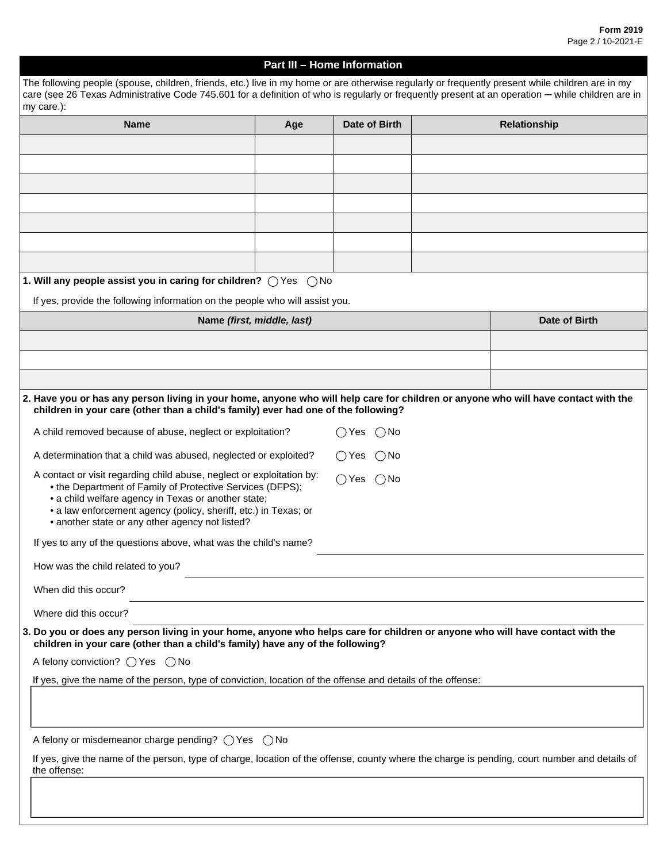## **Part III – Home Information**

| The following people (spouse, children, friends, etc.) live in my home or are otherwise regularly or frequently present while children are in my<br>care (see 26 Texas Administrative Code 745.601 for a definition of who is regularly or frequently present at an operation - while children are in           |                            |                                |               |
|-----------------------------------------------------------------------------------------------------------------------------------------------------------------------------------------------------------------------------------------------------------------------------------------------------------------|----------------------------|--------------------------------|---------------|
| my care.):                                                                                                                                                                                                                                                                                                      |                            |                                |               |
| <b>Name</b>                                                                                                                                                                                                                                                                                                     | Age                        | Date of Birth                  | Relationship  |
|                                                                                                                                                                                                                                                                                                                 |                            |                                |               |
|                                                                                                                                                                                                                                                                                                                 |                            |                                |               |
|                                                                                                                                                                                                                                                                                                                 |                            |                                |               |
|                                                                                                                                                                                                                                                                                                                 |                            |                                |               |
|                                                                                                                                                                                                                                                                                                                 |                            |                                |               |
|                                                                                                                                                                                                                                                                                                                 |                            |                                |               |
|                                                                                                                                                                                                                                                                                                                 |                            |                                |               |
| 1. Will any people assist you in caring for children? $\bigcirc$ Yes                                                                                                                                                                                                                                            | $()$ No                    |                                |               |
| If yes, provide the following information on the people who will assist you.                                                                                                                                                                                                                                    |                            |                                |               |
|                                                                                                                                                                                                                                                                                                                 | Name (first, middle, last) |                                | Date of Birth |
|                                                                                                                                                                                                                                                                                                                 |                            |                                |               |
|                                                                                                                                                                                                                                                                                                                 |                            |                                |               |
|                                                                                                                                                                                                                                                                                                                 |                            |                                |               |
| 2. Have you or has any person living in your home, anyone who will help care for children or anyone who will have contact with the<br>children in your care (other than a child's family) ever had one of the following?                                                                                        |                            |                                |               |
| A child removed because of abuse, neglect or exploitation?                                                                                                                                                                                                                                                      |                            | $\bigcirc$ No<br>()Yes         |               |
| A determination that a child was abused, neglected or exploited?                                                                                                                                                                                                                                                |                            | ◯ Yes<br>( ) No                |               |
| A contact or visit regarding child abuse, neglect or exploitation by:<br>• the Department of Family of Protective Services (DFPS);<br>• a child welfare agency in Texas or another state;<br>• a law enforcement agency (policy, sheriff, etc.) in Texas; or<br>• another state or any other agency not listed? |                            | $\bigcap$ Yes<br>$\bigcirc$ No |               |
| If yes to any of the questions above, what was the child's name?                                                                                                                                                                                                                                                |                            |                                |               |
| How was the child related to you?                                                                                                                                                                                                                                                                               |                            |                                |               |
| When did this occur?                                                                                                                                                                                                                                                                                            |                            |                                |               |
| Where did this occur?                                                                                                                                                                                                                                                                                           |                            |                                |               |
| 3. Do you or does any person living in your home, anyone who helps care for children or anyone who will have contact with the<br>children in your care (other than a child's family) have any of the following?                                                                                                 |                            |                                |               |
| A felony conviction? $\bigcirc$ Yes $\bigcirc$ No                                                                                                                                                                                                                                                               |                            |                                |               |
| If yes, give the name of the person, type of conviction, location of the offense and details of the offense:                                                                                                                                                                                                    |                            |                                |               |
|                                                                                                                                                                                                                                                                                                                 |                            |                                |               |
| A felony or misdemeanor charge pending? $\bigcirc$ Yes $\bigcirc$ No                                                                                                                                                                                                                                            |                            |                                |               |
| If yes, give the name of the person, type of charge, location of the offense, county where the charge is pending, court number and details of<br>the offense:                                                                                                                                                   |                            |                                |               |
|                                                                                                                                                                                                                                                                                                                 |                            |                                |               |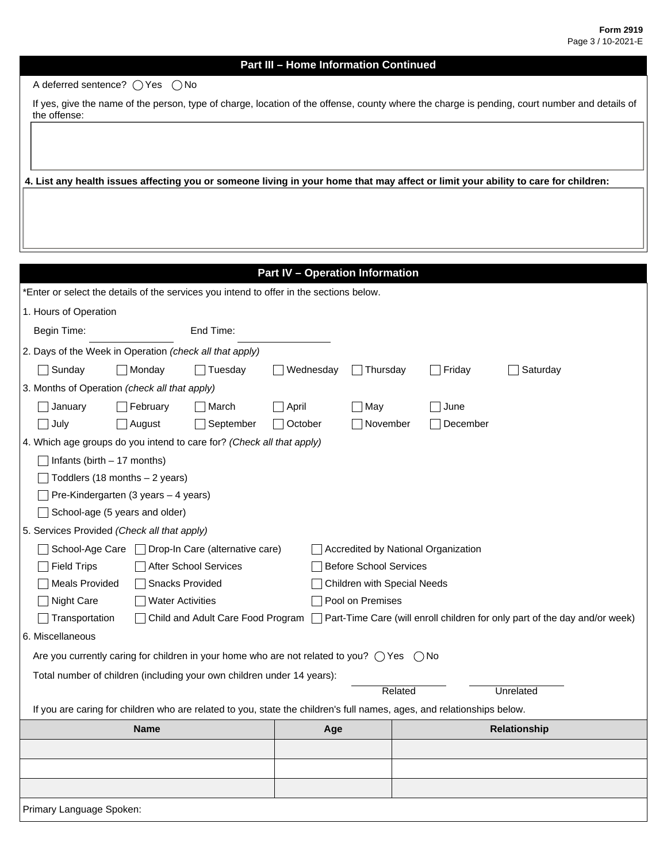A deferred sentence?  $\bigcirc$  Yes  $\bigcirc$  No

If yes, give the name of the person, type of charge, location of the offense, county where the charge is pending, court number and details of the offense:

**4. List any health issues affecting you or someone living in your home that may affect or limit your ability to care for children:**

| <b>Part IV - Operation Information</b> |
|----------------------------------------|
|----------------------------------------|

| *Enter or select the details of the services you intend to offer in the sections below.                                        |                                                                                                                        |                                                   |              |                               |                                     |  |          |              |  |
|--------------------------------------------------------------------------------------------------------------------------------|------------------------------------------------------------------------------------------------------------------------|---------------------------------------------------|--------------|-------------------------------|-------------------------------------|--|----------|--------------|--|
| 1. Hours of Operation                                                                                                          |                                                                                                                        |                                                   |              |                               |                                     |  |          |              |  |
| End Time:<br>Begin Time:                                                                                                       |                                                                                                                        |                                                   |              |                               |                                     |  |          |              |  |
| 2. Days of the Week in Operation (check all that apply)                                                                        |                                                                                                                        |                                                   |              |                               |                                     |  |          |              |  |
| $\Box$ Sunday                                                                                                                  | Monday                                                                                                                 | Tuesday                                           | Wednesday    |                               | $\Box$ Thursday                     |  | Friday   | Saturday     |  |
| 3. Months of Operation (check all that apply)                                                                                  |                                                                                                                        |                                                   |              |                               |                                     |  |          |              |  |
| January                                                                                                                        | February                                                                                                               | March                                             | $\Box$ April |                               | $\neg$ May                          |  | June     |              |  |
| $\exists$ July                                                                                                                 | August                                                                                                                 | September                                         | October      |                               | $\neg$ November                     |  | December |              |  |
| 4. Which age groups do you intend to care for? (Check all that apply)                                                          |                                                                                                                        |                                                   |              |                               |                                     |  |          |              |  |
| $\sqrt{\frac{1}{1}}$ Infants (birth $-17$ months)                                                                              |                                                                                                                        |                                                   |              |                               |                                     |  |          |              |  |
|                                                                                                                                | Toddlers (18 months - 2 years)                                                                                         |                                                   |              |                               |                                     |  |          |              |  |
|                                                                                                                                | Pre-Kindergarten (3 years - 4 years)                                                                                   |                                                   |              |                               |                                     |  |          |              |  |
|                                                                                                                                | School-age (5 years and older)                                                                                         |                                                   |              |                               |                                     |  |          |              |  |
| 5. Services Provided (Check all that apply)                                                                                    |                                                                                                                        |                                                   |              |                               |                                     |  |          |              |  |
|                                                                                                                                |                                                                                                                        | School-Age Care □ Drop-In Care (alternative care) |              |                               | Accredited by National Organization |  |          |              |  |
| <b>Field Trips</b><br>After School Services                                                                                    |                                                                                                                        |                                                   |              | <b>Before School Services</b> |                                     |  |          |              |  |
| <b>Meals Provided</b><br>Snacks Provided<br>Children with Special Needs                                                        |                                                                                                                        |                                                   |              |                               |                                     |  |          |              |  |
| Night Care<br>Pool on Premises<br><b>Water Activities</b>                                                                      |                                                                                                                        |                                                   |              |                               |                                     |  |          |              |  |
| Transportation<br>Child and Adult Care Food Program Part-Time Care (will enroll children for only part of the day and/or week) |                                                                                                                        |                                                   |              |                               |                                     |  |          |              |  |
| 6. Miscellaneous                                                                                                               |                                                                                                                        |                                                   |              |                               |                                     |  |          |              |  |
| Are you currently caring for children in your home who are not related to you? $\bigcirc$ Yes $\bigcirc$ No                    |                                                                                                                        |                                                   |              |                               |                                     |  |          |              |  |
| Total number of children (including your own children under 14 years):                                                         |                                                                                                                        |                                                   |              |                               |                                     |  |          |              |  |
| Related<br>Unrelated                                                                                                           |                                                                                                                        |                                                   |              |                               |                                     |  |          |              |  |
|                                                                                                                                | If you are caring for children who are related to you, state the children's full names, ages, and relationships below. |                                                   |              |                               |                                     |  |          |              |  |
| <b>Name</b>                                                                                                                    |                                                                                                                        |                                                   |              | Age                           |                                     |  |          | Relationship |  |
|                                                                                                                                |                                                                                                                        |                                                   |              |                               |                                     |  |          |              |  |
|                                                                                                                                |                                                                                                                        |                                                   |              |                               |                                     |  |          |              |  |
|                                                                                                                                |                                                                                                                        |                                                   |              |                               |                                     |  |          |              |  |
| Primary Language Spoken:                                                                                                       |                                                                                                                        |                                                   |              |                               |                                     |  |          |              |  |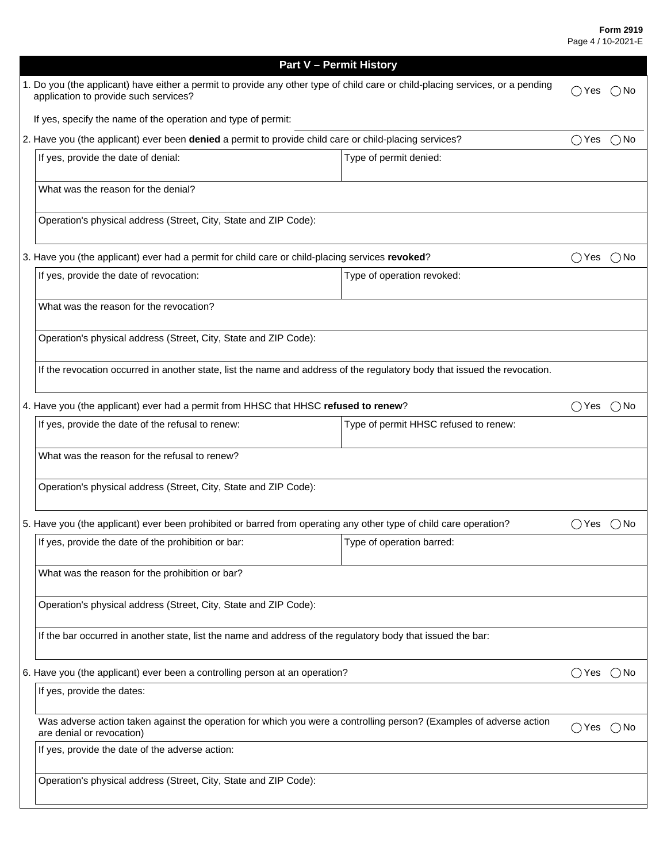|                                                                                                                                                                         | <b>Part V - Permit History</b>                                                                                            |                            |  |  |  |  |  |  |  |
|-------------------------------------------------------------------------------------------------------------------------------------------------------------------------|---------------------------------------------------------------------------------------------------------------------------|----------------------------|--|--|--|--|--|--|--|
| 1. Do you (the applicant) have either a permit to provide any other type of child care or child-placing services, or a pending<br>application to provide such services? |                                                                                                                           |                            |  |  |  |  |  |  |  |
|                                                                                                                                                                         | If yes, specify the name of the operation and type of permit:                                                             |                            |  |  |  |  |  |  |  |
| 2. Have you (the applicant) ever been denied a permit to provide child care or child-placing services?                                                                  |                                                                                                                           |                            |  |  |  |  |  |  |  |
|                                                                                                                                                                         | If yes, provide the date of denial:<br>Type of permit denied:                                                             |                            |  |  |  |  |  |  |  |
| What was the reason for the denial?                                                                                                                                     |                                                                                                                           |                            |  |  |  |  |  |  |  |
|                                                                                                                                                                         | Operation's physical address (Street, City, State and ZIP Code):                                                          |                            |  |  |  |  |  |  |  |
|                                                                                                                                                                         | 3. Have you (the applicant) ever had a permit for child care or child-placing services revoked?                           |                            |  |  |  |  |  |  |  |
|                                                                                                                                                                         | If yes, provide the date of revocation:                                                                                   | Type of operation revoked: |  |  |  |  |  |  |  |
| What was the reason for the revocation?                                                                                                                                 |                                                                                                                           |                            |  |  |  |  |  |  |  |
|                                                                                                                                                                         | Operation's physical address (Street, City, State and ZIP Code):                                                          |                            |  |  |  |  |  |  |  |
|                                                                                                                                                                         | If the revocation occurred in another state, list the name and address of the regulatory body that issued the revocation. |                            |  |  |  |  |  |  |  |
| 4. Have you (the applicant) ever had a permit from HHSC that HHSC refused to renew?                                                                                     |                                                                                                                           |                            |  |  |  |  |  |  |  |
|                                                                                                                                                                         | If yes, provide the date of the refusal to renew:                                                                         |                            |  |  |  |  |  |  |  |
|                                                                                                                                                                         | What was the reason for the refusal to renew?                                                                             |                            |  |  |  |  |  |  |  |
|                                                                                                                                                                         | Operation's physical address (Street, City, State and ZIP Code):                                                          |                            |  |  |  |  |  |  |  |
| 5. Have you (the applicant) ever been prohibited or barred from operating any other type of child care operation?                                                       | ()Yes                                                                                                                     | ( ) No                     |  |  |  |  |  |  |  |
|                                                                                                                                                                         | If yes, provide the date of the prohibition or bar:                                                                       | Type of operation barred:  |  |  |  |  |  |  |  |
|                                                                                                                                                                         | What was the reason for the prohibition or bar?                                                                           |                            |  |  |  |  |  |  |  |
|                                                                                                                                                                         | Operation's physical address (Street, City, State and ZIP Code):                                                          |                            |  |  |  |  |  |  |  |
|                                                                                                                                                                         | If the bar occurred in another state, list the name and address of the regulatory body that issued the bar:               |                            |  |  |  |  |  |  |  |
| 6. Have you (the applicant) ever been a controlling person at an operation?                                                                                             |                                                                                                                           |                            |  |  |  |  |  |  |  |
|                                                                                                                                                                         | If yes, provide the dates:                                                                                                |                            |  |  |  |  |  |  |  |
| Was adverse action taken against the operation for which you were a controlling person? (Examples of adverse action<br>are denial or revocation)                        |                                                                                                                           |                            |  |  |  |  |  |  |  |
|                                                                                                                                                                         | If yes, provide the date of the adverse action:                                                                           |                            |  |  |  |  |  |  |  |
|                                                                                                                                                                         | Operation's physical address (Street, City, State and ZIP Code):                                                          |                            |  |  |  |  |  |  |  |